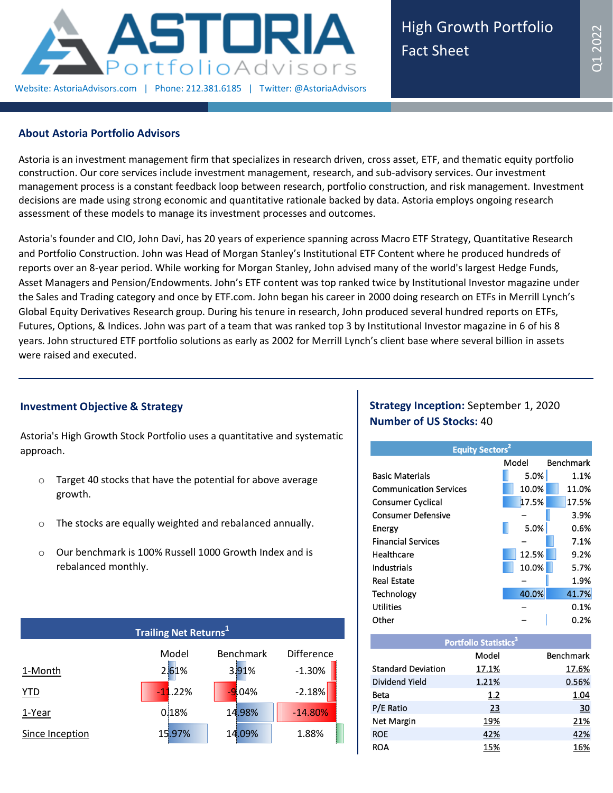

### **About Astoria Portfolio Advisors**

Astoria is an investment management firm that specializes in research driven, cross asset, ETF, and thematic equity portfolio construction. Our core services include investment management, research, and sub-advisory services. Our investment management process is a constant feedback loop between research, portfolio construction, and risk management. Investment decisions are made using strong economic and quantitative rationale backed by data. Astoria employs ongoing research assessment of these models to manage its investment processes and outcomes.

Astoria's founder and CIO, John Davi, has 20 years of experience spanning across Macro ETF Strategy, Quantitative Research and Portfolio Construction. John was Head of Morgan Stanley's Institutional ETF Content where he produced hundreds of reports over an 8-year period. While working for Morgan Stanley, John advised many of the world's largest Hedge Funds, Asset Managers and Pension/Endowments. John's ETF content was top ranked twice by Institutional Investor magazine under the Sales and Trading category and once by ETF.com. John began his career in 2000 doing research on ETFs in Merrill Lynch's Global Equity Derivatives Research group. During his tenure in research, John produced several hundred reports on ETFs, Futures, Options, & Indices. John was part of a team that was ranked top 3 by Institutional Investor magazine in 6 of his 8 years. John structured ETF portfolio solutions as early as 2002 for Merrill Lynch's client base where several billion in assets were raised and executed.

# **Investment Objective & Strategy**

Astoria's High Growth Stock Portfolio uses a quantitative and systematic approach.

- o Target 40 stocks that have the potential for above average growth.
- o The stocks are equally weighted and rebalanced annually.
- o Our benchmark is 100% Russell 1000 Growth Index and is rebalanced monthly.

| <b>Trailing Net Returns</b> <sup>1</sup> |           |           |                   |  |  |  |  |  |
|------------------------------------------|-----------|-----------|-------------------|--|--|--|--|--|
|                                          | Model     | Benchmark | <b>Difference</b> |  |  |  |  |  |
| 1-Month                                  | 2.61%     | 3.91%     | $-1.30%$          |  |  |  |  |  |
| <b>YTD</b>                               | $-11.22%$ | $-9.04%$  | $-2.18%$          |  |  |  |  |  |
| 1-Year                                   | 0.18%     | 14.98%    | $-14.80%$         |  |  |  |  |  |
| Since Inception                          | 15.97%    | 14.09%    | 1.88%             |  |  |  |  |  |

# **Strategy Inception:** September 1, 2020 **Number of US Stocks:** 40

| <b>Equity Sectors<sup>2</sup></b> |       |           |  |  |  |  |  |
|-----------------------------------|-------|-----------|--|--|--|--|--|
|                                   | Model | Benchmark |  |  |  |  |  |
| <b>Basic Materials</b>            | 5.0%  | 1.1%      |  |  |  |  |  |
| <b>Communication Services</b>     | 10.0% | 11.0%     |  |  |  |  |  |
| <b>Consumer Cyclical</b>          | 17.5% | 17.5%     |  |  |  |  |  |
| <b>Consumer Defensive</b>         |       | 3.9%      |  |  |  |  |  |
| Energy                            | 5.0%  | 0.6%      |  |  |  |  |  |
| <b>Financial Services</b>         |       | 7.1%      |  |  |  |  |  |
| Healthcare                        | 12.5% | 9.2%      |  |  |  |  |  |
| Industrials                       | 10.0% | 5.7%      |  |  |  |  |  |
| Real Estate                       |       | 1.9%      |  |  |  |  |  |
| Technology                        | 40.0% | 41.7%     |  |  |  |  |  |
| <b>Utilities</b>                  |       | 0.1%      |  |  |  |  |  |
| Other                             |       | 0.2%      |  |  |  |  |  |
|                                   |       |           |  |  |  |  |  |

| Portfolio Statistics <sup>3</sup> |       |                  |  |  |  |  |  |  |
|-----------------------------------|-------|------------------|--|--|--|--|--|--|
|                                   | Model | <b>Benchmark</b> |  |  |  |  |  |  |
| <b>Standard Deviation</b>         | 17.1% | 17.6%            |  |  |  |  |  |  |
| Dividend Yield                    | 1.21% | 0.56%            |  |  |  |  |  |  |
| Beta                              | 1.2   | 1.04             |  |  |  |  |  |  |
| P/E Ratio                         | 23    | 30               |  |  |  |  |  |  |
| <b>Net Margin</b>                 | 19%   | 21%              |  |  |  |  |  |  |
| <b>ROE</b>                        | 42%   | 42%              |  |  |  |  |  |  |
| ROA                               | 15%   | 16%              |  |  |  |  |  |  |